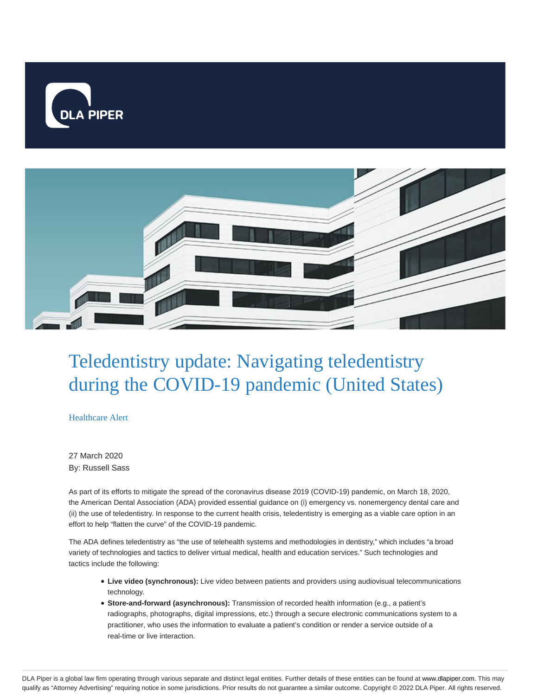



# Teledentistry update: Navigating teledentistry during the COVID-19 pandemic (United States)

Healthcare Alert

27 March 2020 By: Russell Sass

As part of its efforts to mitigate the spread of the coronavirus disease 2019 (COVID-19) pandemic, on March 18, 2020, the American Dental Association (ADA) provided essential guidance on (i) emergency vs. nonemergency dental care and (ii) the use of teledentistry. In response to the current health crisis, teledentistry is emerging as a viable care option in an effort to help "flatten the curve" of the COVID-19 pandemic.

The ADA defines teledentistry as "the use of telehealth systems and methodologies in dentistry," which includes "a broad variety of technologies and tactics to deliver virtual medical, health and education services." Such technologies and tactics include the following:

- **Live video (synchronous):** Live video between patients and providers using audiovisual telecommunications technology.
- **Store-and-forward (asynchronous):** Transmission of recorded health information (e.g., a patient's radiographs, photographs, digital impressions, etc.) through a secure electronic communications system to a practitioner, who uses the information to evaluate a patient's condition or render a service outside of a real-time or live interaction.

DLA Piper is a global law firm operating through various separate and distinct legal entities. Further details of these entities can be found at www.dlapiper.com. This may qualify as "Attorney Advertising" requiring notice in some jurisdictions. Prior results do not guarantee a similar outcome. Copyright © 2022 DLA Piper. All rights reserved.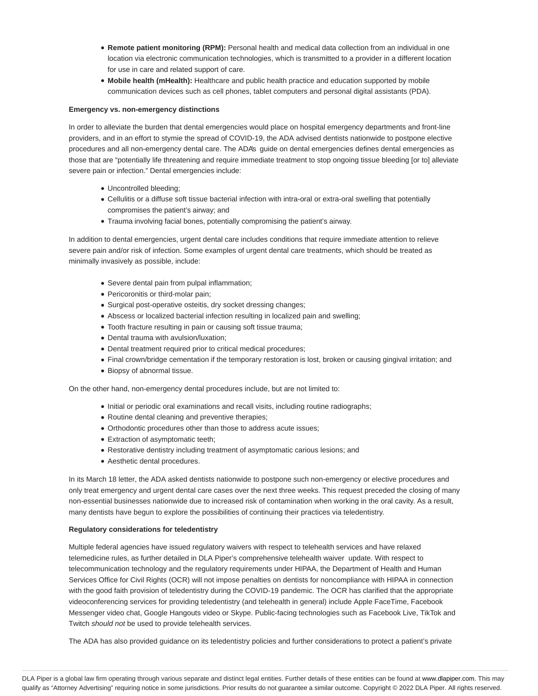- **Remote patient monitoring (RPM):** Personal health and medical data collection from an individual in one location via electronic communication technologies, which is transmitted to a provider in a different location for use in care and related support of care.
- Mobile health (mHealth): Healthcare and public health practice and education supported by mobile communication devices such as cell phones, tablet computers and personal digital assistants (PDA).

### **Emergency vs. non-emergency distinctions**

In order to alleviate the burden that dental emergencies would place on hospital emergency departments and front-line providers, and in an effort to stymie the spread of COVID-19, the ADA advised dentists nationwide to postpone elective procedures and all non-emergency dental care. The ADA's guide on dental emergencies defines dental emergencies as those that are "potentially life threatening and require immediate treatment to stop ongoing tissue bleeding [or to] alleviate severe pain or infection." Dental emergencies include:

- Uncontrolled bleeding;
- Cellulitis or a diffuse soft tissue bacterial infection with intra-oral or extra-oral swelling that potentially compromises the patient's airway; and
- Trauma involving facial bones, potentially compromising the patient's airway.

In addition to dental emergencies, urgent dental care includes conditions that require immediate attention to relieve severe pain and/or risk of infection. Some examples of urgent dental care treatments, which should be treated as minimally invasively as possible, include:

- Severe dental pain from pulpal inflammation;
- Pericoronitis or third-molar pain;
- Surgical post-operative osteitis, dry socket dressing changes;
- Abscess or localized bacterial infection resulting in localized pain and swelling;
- Tooth fracture resulting in pain or causing soft tissue trauma;
- Dental trauma with avulsion/luxation;
- Dental treatment required prior to critical medical procedures;
- Final crown/bridge cementation if the temporary restoration is lost, broken or causing gingival irritation; and
- Biopsy of abnormal tissue.

On the other hand, non-emergency dental procedures include, but are not limited to:

- Initial or periodic oral examinations and recall visits, including routine radiographs;
- Routine dental cleaning and preventive therapies;
- Orthodontic procedures other than those to address acute issues;
- Extraction of asymptomatic teeth;
- Restorative dentistry including treatment of asymptomatic carious lesions; and
- Aesthetic dental procedures.

In its March 18 letter, the ADA asked dentists nationwide to postpone such non-emergency or elective procedures and only treat emergency and urgent dental care cases over the next three weeks. This request preceded the closing of many non-essential businesses nationwide due to increased risk of contamination when working in the oral cavity. As a result, many dentists have begun to explore the possibilities of continuing their practices via teledentistry.

#### **Regulatory considerations for teledentistry**

Multiple federal agencies have issued regulatory waivers with respect to telehealth services and have relaxed telemedicine rules, as further detailed in DLA Piper's comprehensive telehealth waiver update. With respect to telecommunication technology and the regulatory requirements under HIPAA, the Department of Health and Human Services Office for Civil Rights (OCR) will not impose penalties on dentists for noncompliance with HIPAA in connection with the good faith provision of teledentistry during the COVID-19 pandemic. The OCR has clarified that the appropriate videoconferencing services for providing teledentistry (and telehealth in general) include Apple FaceTime, Facebook Messenger video chat, Google Hangouts video or Skype. Public-facing technologies such as Facebook Live, TikTok and Twitch should not be used to provide telehealth services.

The ADA has also provided guidance on its teledentistry policies and further considerations to protect a patient's private